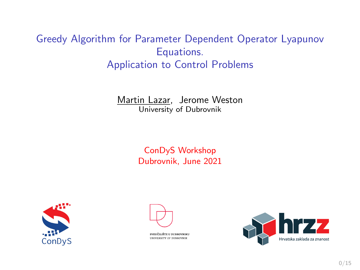# Greedy Algorithm for Parameter Dependent Operator Lyapunov Equations. Application to Control Problems

Martin Lazar, Jerome Weston University of Dubrovnik

> ConDyS Workshop Dubrovnik, June 2021





SVEUČILIŠTE U DUBROVNIKU UNIVERSITY OF BUSSOVNIS

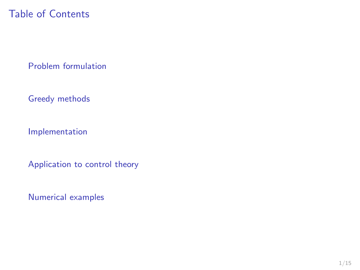# Table of Contents

[Problem formulation](#page-2-0)

[Greedy methods](#page-4-0)

[Implementation](#page-11-0)

[Application to control theory](#page-16-0)

[Numerical examples](#page-20-0)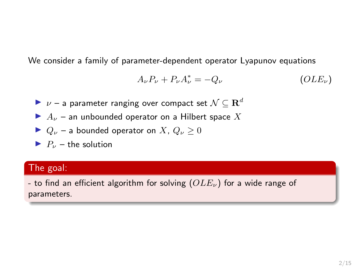<span id="page-2-0"></span>We consider a family of parameter-dependent operator Lyapunov equations

<span id="page-2-1"></span>
$$
A_{\nu}P_{\nu} + P_{\nu}A_{\nu}^* = -Q_{\nu}
$$
 (OLE<sub>ν</sub>)

- $\triangleright$   $\nu$  a parameter ranging over compact set  $\mathcal{N} \subseteq \mathbf{R}^d$
- $\blacktriangleright$   $A_{\nu}$  an unbounded operator on a Hilbert space X
- $\triangleright$   $Q_{\nu}$  a bounded operator on X,  $Q_{\nu}$  > 0
- $\blacktriangleright$   $P_{\nu}$  the solution

### The goal:

- to find an efficient algorithm for solving  $(OLE_{\nu})$  $(OLE_{\nu})$  $(OLE_{\nu})$  for a wide range of parameters.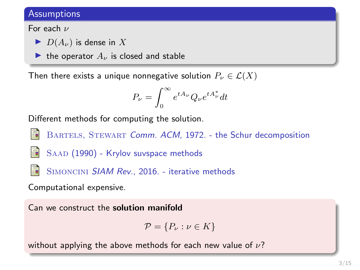### **Assumptions**

#### For each  $\nu$

- $\blacktriangleright$   $D(A_{\nu})$  is dense in X
- In the operator  $A_{\nu}$  is closed and stable

Then there exists a unique nonnegative solution  $P_{\nu} \in \mathcal{L}(X)$ 

$$
P_{\nu} = \int_0^{\infty} e^{tA_{\nu}} Q_{\nu} e^{tA_{\nu}^*} dt
$$

Different methods for computing the solution.



BARTELS, STEWART Comm. ACM, 1972. - the Schur decomposition

SAAD (1990) - Krylov suvspace methods



SIMONCINI SIAM Rev., 2016. - iterative methods

Computational expensive.

Can we construct the solution manifold

$$
\mathcal{P} = \{P_{\nu} : \nu \in K\}
$$

without applying the above methods for each new value of  $\nu$ ?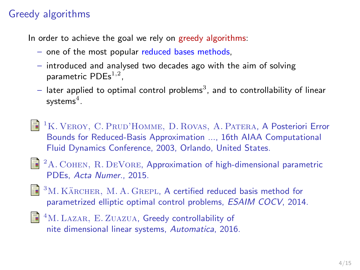# <span id="page-4-0"></span>Greedy algorithms

In order to achieve the goal we rely on greedy algorithms:

- one of the most popular reduced bases methods,
- introduced and analysed two decades ago with the aim of solving parametric  $PDEs^{1,2}$ ,
- $-$  later applied to optimal control problems $^3$ , and to controllability of linear systems $^4.$
- <sup>1</sup>K. VEROY, C. PRUD'HOMME, D. ROVAS, A. PATERA, A Posteriori Error Bounds for Reduced-Basis Approximation ..., 16th AIAA Computational Fluid Dynamics Conference, 2003, Orlando, United States.
- <sup>2</sup>A. Cohen, R. DeVore, Approximation of high-dimensional parametric PDEs, Acta Numer., 2015.
- $3M.$  KÄRCHER, M. A. GREPL, A certified reduced basis method for parametrized elliptic optimal control problems, ESAIM COCV, 2014.
	- <sup>4</sup>M. LAZAR, E. ZUAZUA, Greedy controllability of nite dimensional linear systems, Automatica, 2016.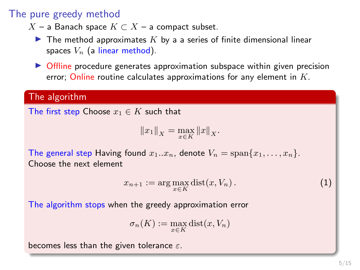### The pure greedy method

- $X$  a Banach space  $K \subset X$  a compact subset.
	- $\blacktriangleright$  The method approximates K by a a series of finite dimensional linear spaces  $V_n$  (a linear method).
	- $\triangleright$  Offline procedure generates approximation subspace within given precision error; Online routine calculates approximations for any element in  $K$ .

#### The algorithm

The first step Choose  $x_1 \in K$  such that

$$
||x_1||_X = \max_{x \in K} ||x||_X.
$$

The general step Having found  $x_1...x_n$ , denote  $V_n = \text{span}\{x_1,...,x_n\}$ . Choose the next element

$$
x_{n+1} := \arg\max_{x \in K} \text{dist}(x, V_n). \tag{1}
$$

The algorithm stops when the greedy approximation error

$$
\sigma_n(K) := \max_{x \in K} \text{dist}(x, V_n)
$$

becomes less than the given tolerance  $\varepsilon$ .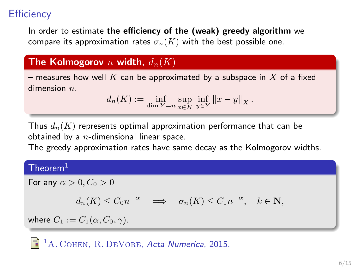# **Efficiency**

In order to estimate the efficiency of the (weak) greedy algorithm we compare its approximation rates  $\sigma_n(K)$  with the best possible one.

### The Kolmogorov n width,  $d_n(K)$

– measures how well K can be approximated by a subspace in X of a fixed dimension  $n$ 

$$
d_n(K) := \inf_{\dim Y = n} \sup_{x \in K} \inf_{y \in Y} ||x - y||_X.
$$

Thus  $d_n(K)$  represents optimal approximation performance that can be obtained by a  $n$ -dimensional linear space.

The greedy approximation rates have same decay as the Kolmogorov widths.

### $Then <sup>1</sup>$

For any  $\alpha > 0$ ,  $C_0 > 0$ 

$$
d_n(K) \leq C_0 n^{-\alpha} \quad \Longrightarrow \quad \sigma_n(K) \leq C_1 n^{-\alpha}, \quad k \in \mathbf{N},
$$

where  $C_1 := C_1(\alpha, C_0, \gamma)$ .

<sup>1</sup>A. COHEN, R. DEVORE, Acta Numerica, 2015.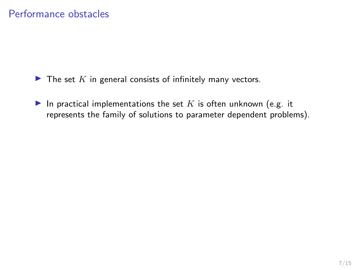- $\blacktriangleright$  The set K in general consists of infinitely many vectors.
- In practical implementations the set  $K$  is often unknown (e.g. it represents the family of solutions to parameter dependent problems).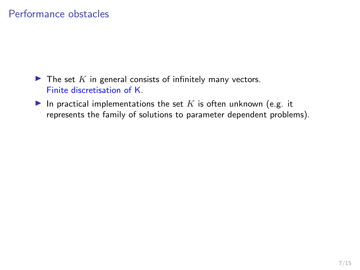### Performance obstacles

- $\blacktriangleright$  The set K in general consists of infinitely many vectors. Finite discretisation of K.
- In practical implementations the set  $K$  is often unknown (e.g. it represents the family of solutions to parameter dependent problems).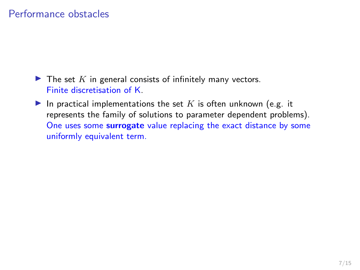### Performance obstacles

- $\blacktriangleright$  The set K in general consists of infinitely many vectors. Finite discretisation of K.
- In practical implementations the set  $K$  is often unknown (e.g. it represents the family of solutions to parameter dependent problems). One uses some surrogate value replacing the exact distance by some uniformly equivalent term.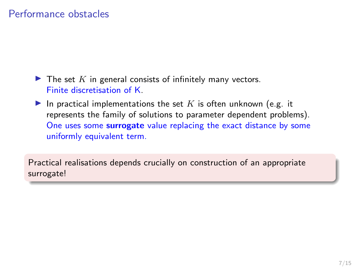### Performance obstacles

- $\blacktriangleright$  The set K in general consists of infinitely many vectors. Finite discretisation of K.
- In practical implementations the set K is often unknown (e.g. it represents the family of solutions to parameter dependent problems). One uses some surrogate value replacing the exact distance by some uniformly equivalent term.

Practical realisations depends crucially on construction of an appropriate surrogate!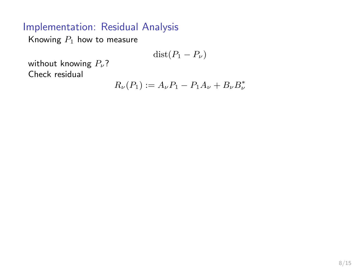<span id="page-11-0"></span>Knowing  $P_1$  how to measure

$$
dist(P_1-P_\nu)
$$

without knowing  $P_{\nu}$ ? Check residual

$$
R_{\nu}(P_1) := A_{\nu} P_1 - P_1 A_{\nu} + B_{\nu} B_{\nu}^*
$$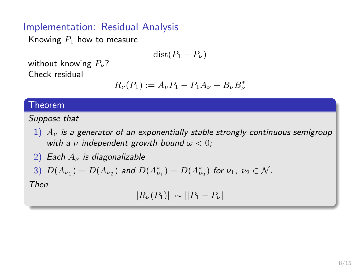Knowing  $P_1$  how to measure

$$
dist(P_1 - P_\nu)
$$

without knowing  $P_{\nu}$ ? Check residual

$$
R_{\nu}(P_1) := A_{\nu} P_1 - P_1 A_{\nu} + B_{\nu} B_{\nu}^*
$$

#### **Theorem**

Suppose that

- 1)  $A_{\nu}$  is a generator of an exponentially stable strongly continuous semigroup with a  $\nu$  independent growth bound  $\omega < 0$ ;
- 2) Each  $A_{\nu}$  is diagonalizable

3) 
$$
D(A_{\nu_1}) = D(A_{\nu_2})
$$
 and  $D(A_{\nu_1}^*) = D(A_{\nu_2}^*)$  for  $\nu_1, \nu_2 \in \mathcal{N}$ .

Then

$$
||R_{\nu}(P_1)|| \sim ||P_1 - P_{\nu}||
$$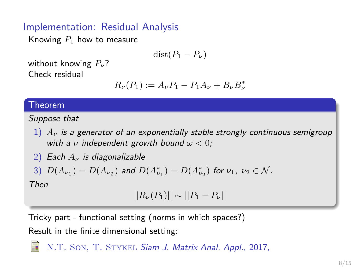Knowing  $P_1$  how to measure

$$
dist(P_1 - P_\nu)
$$

without knowing  $P_{\nu}$ ? Check residual

$$
R_{\nu}(P_1) := A_{\nu} P_1 - P_1 A_{\nu} + B_{\nu} B_{\nu}^*
$$

#### Theorem

Suppose that

- 1)  $A_{\nu}$  is a generator of an exponentially stable strongly continuous semigroup with a  $\nu$  independent growth bound  $\omega < 0$ ;
- 2) Each  $A_{\nu}$  is diagonalizable

3) 
$$
D(A_{\nu_1}) = D(A_{\nu_2})
$$
 and  $D(A_{\nu_1}^*) = D(A_{\nu_2}^*)$  for  $\nu_1, \nu_2 \in \mathcal{N}$ .

Then

$$
||R_{\nu}(P_1)|| \sim ||P_1 - P_{\nu}||
$$

Tricky part - functional setting (norms in which spaces?) Result in the finite dimensional setting:

N.T. SON, T. STYKEL Siam J. Matrix Anal. Appl., 2017,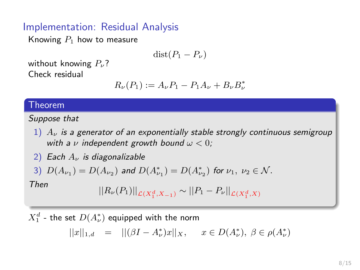Knowing  $P_1$  how to measure

$$
dist(P_1 - P_\nu)
$$

without knowing  $P_{\nu}$ ? Check residual

$$
R_{\nu}(P_1) := A_{\nu} P_1 - P_1 A_{\nu} + B_{\nu} B_{\nu}^*
$$

#### Theorem

Suppose that

- 1)  $A_{\nu}$  is a generator of an exponentially stable strongly continuous semigroup with a  $\nu$  independent growth bound  $\omega < 0$ ;
- 2) Each  $A_{\nu}$  is diagonalizable

3) 
$$
D(A_{\nu_1}) = D(A_{\nu_2})
$$
 and  $D(A_{\nu_1}^*) = D(A_{\nu_2}^*)$  for  $\nu_1, \nu_2 \in \mathcal{N}$ .

Then

$$
||R_{\nu}(P_1)||_{\mathcal{L}(X_1^d, X_{-1})} \sim ||P_1 - P_{\nu}||_{\mathcal{L}(X_1^d, X)}
$$

 $X_1^d$  - the set  $D(A_\nu^*)$  equipped with the norm

$$
||x||_{1,d} = ||(\beta I - A_{\nu}^*)x||_X, \quad x \in D(A_{\nu}^*), \ \beta \in \rho(A_{\nu}^*)
$$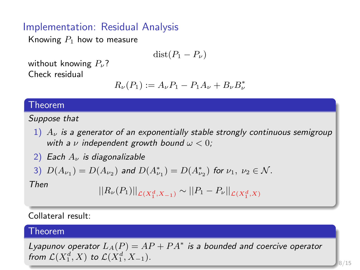Knowing  $P_1$  how to measure

$$
dist(P_1 - P_\nu)
$$

without knowing  $P_{\nu}$ ? Check residual

$$
R_{\nu}(P_1) := A_{\nu} P_1 - P_1 A_{\nu} + B_{\nu} B_{\nu}^*
$$

#### Theorem

Suppose that

- 1)  $A_{\nu}$  is a generator of an exponentially stable strongly continuous semigroup with a  $\nu$  independent growth bound  $\omega < 0$ ;
- 2) Each  $A_{\nu}$  is diagonalizable

3) 
$$
D(A_{\nu_1}) = D(A_{\nu_2})
$$
 and  $D(A_{\nu_1}^*) = D(A_{\nu_2}^*)$  for  $\nu_1, \nu_2 \in \mathcal{N}$ .

Then

$$
||R_{\nu}(P_1)||_{\mathcal{L}(X_1^d, X_{-1})} \sim ||P_1 - P_{\nu}||_{\mathcal{L}(X_1^d, X)}
$$

#### Collateral result:

#### Theorem

Lyapunov operator  $L_A(P) = AP + PA^*$  is a bounded and coercive operator from  $\mathcal{L}(X_1^d, X)$  to  $\mathcal{L}(X_1^d, X_{-1})$ .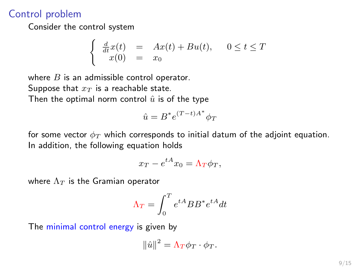### <span id="page-16-0"></span>Control problem

Consider the control system

$$
\begin{cases} \frac{d}{dt}x(t) = Ax(t) + Bu(t), & 0 \le t \le T\\ x(0) = x_0 \end{cases}
$$

where  $B$  is an admissible control operator. Suppose that  $x_T$  is a reachable state.

Then the optimal norm control  $\hat{u}$  is of the type

$$
\hat{u} = B^* e^{(T-t)A^*} \phi_T
$$

for some vector  $\phi_T$  which corresponds to initial datum of the adjoint equation. In addition, the following equation holds

$$
x_T - e^{tA} x_0 = \Lambda_T \phi_T,
$$

where  $\Lambda_T$  is the Gramian operator

$$
\Lambda_T = \int_0^T e^{tA} BB^* e^{tA} dt
$$

The minimal control energy is given by

$$
\|\hat{u}\|^2 = \Lambda_T \phi_T \cdot \phi_T.
$$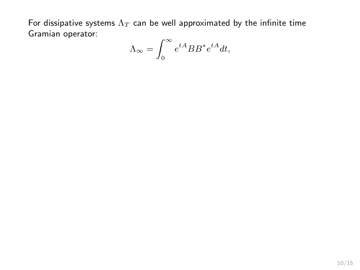For dissipative systems  $\Lambda_T$  can be well approximated by the infinite time Gramian operator:

$$
\Lambda_{\infty} = \int_{0}^{\infty} e^{tA} BB^* e^{tA} dt,
$$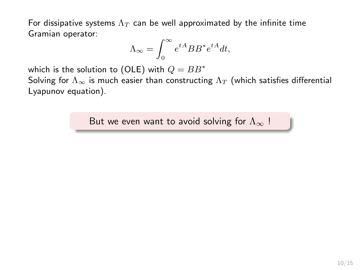For dissipative systems  $\Lambda_T$  can be well approximated by the infinite time Gramian operator:

$$
\Lambda_{\infty} = \int_{0}^{\infty} e^{tA} BB^* e^{tA} dt,
$$

which is the solution to (OLE) with  $Q = BB^*$ 

Solving for  $\Lambda_{\infty}$  is much easier than constructing  $\Lambda_T$  (which satisfies differential Lyapunov equation).

But we even want to avoid solving for  $\Lambda_{\infty}$ !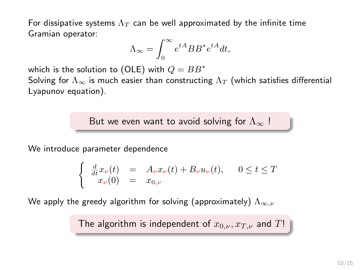For dissipative systems  $\Lambda_T$  can be well approximated by the infinite time Gramian operator:

$$
\Lambda_{\infty} = \int_{0}^{\infty} e^{tA} BB^* e^{tA} dt,
$$

which is the solution to (OLE) with  $Q = BB^*$ 

Solving for  $\Lambda_{\infty}$  is much easier than constructing  $\Lambda_T$  (which satisfies differential Lyapunov equation).

But we even want to avoid solving for  $\Lambda_{\infty}$ !

We introduce parameter dependence

$$
\begin{cases} \frac{d}{dt}x_{\nu}(t) = A_{\nu}x_{\nu}(t) + B_{\nu}u_{\nu}(t), \quad 0 \leq t \leq T\\ x_{\nu}(0) = x_{0,\nu} \end{cases}
$$

We apply the greedy algorithm for solving (approximately)  $\Lambda_{\infty,\nu}$ 

The algorithm is independent of  $x_{0,\nu}, x_{T,\nu}$  and  $T!$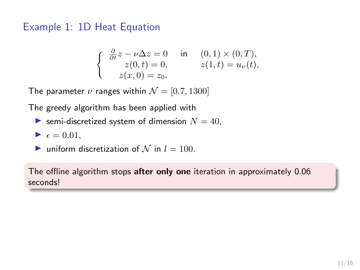### <span id="page-20-0"></span>Example 1: 1D Heat Equation

$$
\left\{\begin{array}{cl}\frac{\partial}{\partial t}z-\nu\Delta z=0 & \text{ in } & (0,1)\times(0,T),\\z(0,t)=0, & z(1,t)=u_{\nu}(t),\\z(x,0)=z_0.\end{array}\right.
$$

The parameter  $\nu$  ranges within  $\mathcal{N} = [0.7, 1300]$ 

The greedy algorithm has been applied with

Semi-discretized system of dimension  $N = 40$ ,

$$
\blacktriangleright \epsilon = 0.01,
$$

ightharpoonup uniform discretization of N in  $l = 100$ .

The offline algorithm stops after only one iteration in approximately 0.06 seconds!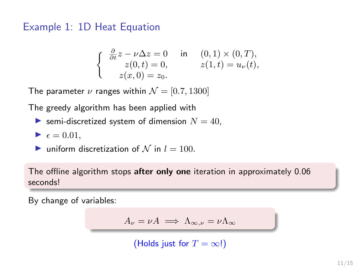### Example 1: 1D Heat Equation

$$
\left\{\begin{array}{cl}\frac{\partial}{\partial t}z-\nu\Delta z=0 & \text{ in } & (0,1)\times(0,T),\\z(0,t)=0, & z(1,t)=u_{\nu}(t),\\z(x,0)=z_0.\end{array}\right.
$$

The parameter  $\nu$  ranges within  $\mathcal{N} = [0.7, 1300]$ 

The greedy algorithm has been applied with

Semi-discretized system of dimension  $N = 40$ ,

$$
\blacktriangleright \epsilon = 0.01,
$$

ightharpoonup uniform discretization of N in  $l = 100$ .

The offline algorithm stops after only one iteration in approximately 0.06 seconds!

By change of variables:

$$
A_{\nu} = \nu A \implies \Lambda_{\infty,\nu} = \nu \Lambda_{\infty}
$$

(Holds just for  $T = \infty$ !)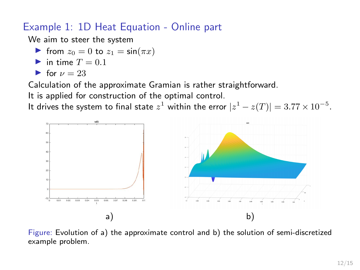# Example 1: 1D Heat Equation - Online part

We aim to steer the system

- If from  $z_0 = 0$  to  $z_1 = \sin(\pi x)$
- in time  $T = 0.1$

$$
\bullet \ \text{for } \nu = 23
$$

Calculation of the approximate Gramian is rather straightforward.

It is applied for construction of the optimal control.

It drives the system to final state  $z^1$  within the error  $|z^1-z(T)|=3.77\times 10^{-5}.$ 



Figure: Evolution of a) the approximate control and b) the solution of semi-discretized example problem.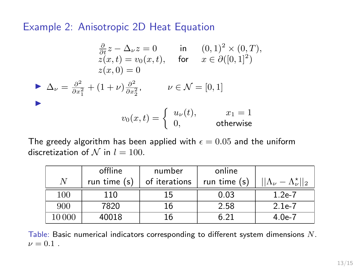### Example 2: Anisotropic 2D Heat Equation

$$
\frac{\partial}{\partial t} z - \Delta_{\nu} z = 0 \quad \text{in} \quad (0,1)^2 \times (0,T),
$$
  
\n
$$
z(x,t) = v_0(x,t), \quad \text{for} \quad x \in \partial([0,1]^2)
$$
  
\n
$$
z(x,0) = 0
$$
  
\n
$$
\Delta_{\nu} = \frac{\partial^2}{\partial x_1^2} + (1+\nu)\frac{\partial^2}{\partial x_2^2}, \qquad \nu \in \mathcal{N} = [0,1]
$$
  
\n
$$
v_0(x,t) = \begin{cases} u_{\nu}(t), & x_1 = 1 \\ 0, & \text{otherwise} \end{cases}
$$

The greedy algorithm has been applied with  $\epsilon = 0.05$  and the uniform discretization of N in  $l = 100$ .

|      | offline        | number        | online         |                                               |
|------|----------------|---------------|----------------|-----------------------------------------------|
| N    | run time $(s)$ | of iterations | run time $(s)$ | $  \Lambda_{\nu} - \Lambda_{\nu}^{\star}  _2$ |
| 100  | 110            | 15            | 0.03           | $1.2e-7$                                      |
| 900  | 7820           | 16            | 2.58           | $2.1e-7$                                      |
| 0000 | 40018          | 16            | 6.21           | $4.0e-7$                                      |

Table: Basic numerical indicators corresponding to different system dimensions N.  $\nu = 0.1$ .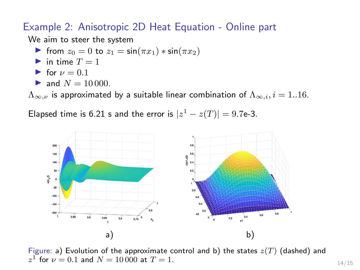### Example 2: Anisotropic 2D Heat Equation - Online part

We aim to steer the system

- $\triangleright$  from  $z_0 = 0$  to  $z_1 = \sin(\pi x_1) * \sin(\pi x_2)$
- in time  $T = 1$
- If for  $\nu = 0.1$
- and  $N = 10000$ .

 $\Lambda_{\infty,\nu}$  is approximated by a suitable linear combination of  $\Lambda_{\infty,i}$ ,  $i = 1..16$ .

Elapsed time is 6.21 s and the error is  $|z^1-z(T)|=9.7$ e-3.



Figure: a) Evolution of the approximate control and b) the states  $z(T)$  (dashed) and  $z^1$  for  $\nu = 0.1$  and  $N = 10000$  at  $T = 1$ .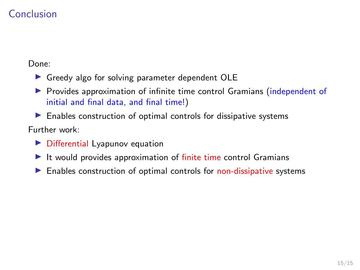# Conclusion

Done:

- $\triangleright$  Greedy algo for solving parameter dependent OLE
- **Provides approximation of infinite time control Gramians (independent of** initial and final data, and final time!)
- $\blacktriangleright$  Enables construction of optimal controls for dissipative systems Further work:
	- $\triangleright$  Differential Lyapunov equation
	- $\blacktriangleright$  It would provides approximation of finite time control Gramians
	- $\blacktriangleright$  Enables construction of optimal controls for non-dissipative systems